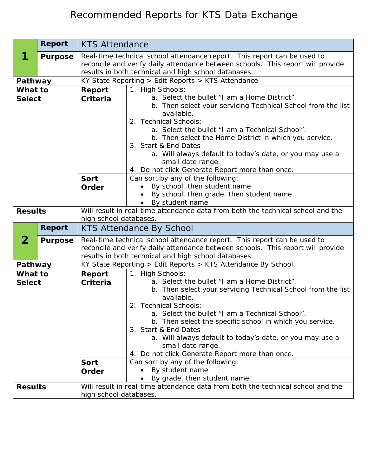## Recommended Reports for KTS Data Exchange

|                          | Report         | <b>KTS Attendance</b>                                                                                                                                                                                               |                                                                                                                                                                                                                                                                                                                                                                                                                                                                                                                                           |  |
|--------------------------|----------------|---------------------------------------------------------------------------------------------------------------------------------------------------------------------------------------------------------------------|-------------------------------------------------------------------------------------------------------------------------------------------------------------------------------------------------------------------------------------------------------------------------------------------------------------------------------------------------------------------------------------------------------------------------------------------------------------------------------------------------------------------------------------------|--|
|                          | <b>Purpose</b> | Real-time technical school attendance report. This report can be used to<br>reconcile and verify daily attendance between schools. This report will provide<br>results in both technical and high school databases. |                                                                                                                                                                                                                                                                                                                                                                                                                                                                                                                                           |  |
| Pathway                  |                |                                                                                                                                                                                                                     | KY State Reporting > Edit Reports > KTS Attendance                                                                                                                                                                                                                                                                                                                                                                                                                                                                                        |  |
| What to                  |                | <b>Report</b>                                                                                                                                                                                                       | 1. High Schools:                                                                                                                                                                                                                                                                                                                                                                                                                                                                                                                          |  |
| <b>Select</b>            |                | Criteria                                                                                                                                                                                                            | a. Select the bullet "I am a Home District".                                                                                                                                                                                                                                                                                                                                                                                                                                                                                              |  |
|                          |                | <b>Sort</b><br>Order                                                                                                                                                                                                | b. Then select your servicing Technical School from the list<br>available.<br>2. Technical Schools:<br>a. Select the bullet "I am a Technical School".<br>b. Then select the Home District in which you service.<br>3. Start & End Dates<br>a. Will always default to today's date, or you may use a<br>small date range.<br>4. Do not click Generate Report more than once.<br>Can sort by any of the following:<br>By school, then student name<br>By school, then grade, then student name                                             |  |
|                          |                |                                                                                                                                                                                                                     | By student name                                                                                                                                                                                                                                                                                                                                                                                                                                                                                                                           |  |
| <b>Results</b>           |                | Will result in real-time attendance data from both the technical school and the<br>high school databases.                                                                                                           |                                                                                                                                                                                                                                                                                                                                                                                                                                                                                                                                           |  |
|                          | <b>Report</b>  | <b>KTS Attendance By School</b>                                                                                                                                                                                     |                                                                                                                                                                                                                                                                                                                                                                                                                                                                                                                                           |  |
| $\mathbf{2}$             | <b>Purpose</b> |                                                                                                                                                                                                                     | Real-time technical school attendance report. This report can be used to<br>reconcile and verify daily attendance between schools. This report will provide<br>results in both technical and high school databases.                                                                                                                                                                                                                                                                                                                       |  |
| Pathway                  |                | KY State Reporting > Edit Reports > KTS Attendance By School                                                                                                                                                        |                                                                                                                                                                                                                                                                                                                                                                                                                                                                                                                                           |  |
| What to<br><b>Select</b> |                | Report<br>Criteria<br><b>Sort</b><br>Order                                                                                                                                                                          | 1. High Schools:<br>a. Select the bullet "I am a Home District".<br>b. Then select your servicing Technical School from the list<br>available.<br>2. Technical Schools:<br>a. Select the bullet "I am a Technical School".<br>b. Then select the specific school in which you service.<br>3. Start & End Dates<br>a. Will always default to today's date, or you may use a<br>small date range.<br>4. Do not click Generate Report more than once.<br>Can sort by any of the following:<br>By student name<br>By grade, then student name |  |
| <b>Results</b>           |                |                                                                                                                                                                                                                     | Will result in real-time attendance data from both the technical school and the                                                                                                                                                                                                                                                                                                                                                                                                                                                           |  |
|                          |                | high school databases.                                                                                                                                                                                              |                                                                                                                                                                                                                                                                                                                                                                                                                                                                                                                                           |  |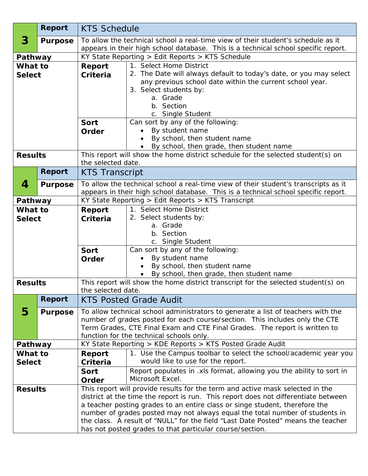|                | <b>Report</b>  | <b>KTS Schedule</b>                                                                                                                                                    |                                                                                                       |  |
|----------------|----------------|------------------------------------------------------------------------------------------------------------------------------------------------------------------------|-------------------------------------------------------------------------------------------------------|--|
| 3              | <b>Purpose</b> | To allow the technical school a real-time view of their student's schedule as it<br>appears in their high school database. This is a technical school specific report. |                                                                                                       |  |
| Pathway        |                | KY State Reporting > Edit Reports > KTS Schedule                                                                                                                       |                                                                                                       |  |
| What to        |                | <b>Report</b>                                                                                                                                                          | 1. Select Home District                                                                               |  |
| <b>Select</b>  |                | Criteria                                                                                                                                                               | 2. The Date will always default to today's date, or you may select                                    |  |
|                |                |                                                                                                                                                                        | any previous school date within the current school year.                                              |  |
|                |                |                                                                                                                                                                        | 3. Select students by:                                                                                |  |
|                |                |                                                                                                                                                                        | a. Grade                                                                                              |  |
|                |                |                                                                                                                                                                        | b. Section                                                                                            |  |
|                |                |                                                                                                                                                                        | c. Single Student                                                                                     |  |
|                |                | <b>Sort</b>                                                                                                                                                            | Can sort by any of the following:<br>By student name                                                  |  |
|                |                | Order                                                                                                                                                                  | By school, then student name                                                                          |  |
|                |                |                                                                                                                                                                        | By school, then grade, then student name                                                              |  |
| <b>Results</b> |                |                                                                                                                                                                        | This report will show the home district schedule for the selected student(s) on                       |  |
|                |                | the selected date.                                                                                                                                                     |                                                                                                       |  |
|                | <b>Report</b>  | <b>KTS Transcript</b>                                                                                                                                                  |                                                                                                       |  |
| 4              | <b>Purpose</b> |                                                                                                                                                                        | To allow the technical school a real-time view of their student's transcripts as it                   |  |
|                |                |                                                                                                                                                                        | appears in their high school database. This is a technical school specific report.                    |  |
| Pathway        |                | KY State Reporting $>$ Edit Reports $>$ KTS Transcript                                                                                                                 |                                                                                                       |  |
| What to        |                | Report                                                                                                                                                                 | 1. Select Home District                                                                               |  |
| <b>Select</b>  |                | Criteria                                                                                                                                                               | 2. Select students by:                                                                                |  |
|                |                |                                                                                                                                                                        | a. Grade                                                                                              |  |
|                |                |                                                                                                                                                                        | b. Section<br>c. Single Student                                                                       |  |
|                |                | <b>Sort</b>                                                                                                                                                            | Can sort by any of the following:                                                                     |  |
|                |                | Order                                                                                                                                                                  | By student name                                                                                       |  |
|                |                |                                                                                                                                                                        | By school, then student name                                                                          |  |
|                |                |                                                                                                                                                                        | By school, then grade, then student name                                                              |  |
| <b>Results</b> |                | This report will show the home district transcript for the selected student(s) on                                                                                      |                                                                                                       |  |
|                |                | the selected date.                                                                                                                                                     |                                                                                                       |  |
|                | <b>Report</b>  | <b>KTS Posted Grade Audit</b>                                                                                                                                          |                                                                                                       |  |
| 5              | <b>Purpose</b> |                                                                                                                                                                        | To allow technical school administrators to generate a list of teachers with the                      |  |
|                |                |                                                                                                                                                                        | number of grades posted for each course/section. This includes only the CTE                           |  |
|                |                |                                                                                                                                                                        | Term Grades, CTE Final Exam and CTE Final Grades. The report is written to                            |  |
|                |                | function for the technical schools only.<br>KY State Reporting > KDE Reports > KTS Posted Grade Audit                                                                  |                                                                                                       |  |
| Pathway        |                |                                                                                                                                                                        |                                                                                                       |  |
| What to        |                | Report                                                                                                                                                                 | 1. Use the Campus toolbar to select the school/academic year you<br>would like to use for the report. |  |
| <b>Select</b>  |                | Criteria<br><b>Sort</b>                                                                                                                                                | Report populates in .xls format, allowing you the ability to sort in                                  |  |
|                |                | Order                                                                                                                                                                  | Microsoft Excel.                                                                                      |  |
| <b>Results</b> |                | This report will provide results for the term and active mask selected in the                                                                                          |                                                                                                       |  |
|                |                | district at the time the report is run. This report does not differentiate between                                                                                     |                                                                                                       |  |
|                |                | a teacher posting grades to an entire class or singe student, therefore the                                                                                            |                                                                                                       |  |
|                |                | number of grades posted may not always equal the total number of students in                                                                                           |                                                                                                       |  |
|                |                | the class. A result of "NULL" for the field "Last Date Posted" means the teacher                                                                                       |                                                                                                       |  |
|                |                | has not posted grades to that particular course/section.                                                                                                               |                                                                                                       |  |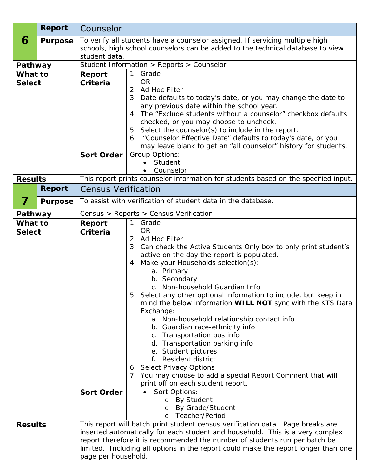|                          | <b>Report</b>  | Counselor                                                                                                                                                   |                                                                                                  |  |
|--------------------------|----------------|-------------------------------------------------------------------------------------------------------------------------------------------------------------|--------------------------------------------------------------------------------------------------|--|
| 6                        | <b>Purpose</b> | To verify all students have a counselor assigned. If servicing multiple high                                                                                |                                                                                                  |  |
|                          |                |                                                                                                                                                             | schools, high school counselors can be added to the technical database to view                   |  |
|                          |                | student data.                                                                                                                                               |                                                                                                  |  |
| Pathway                  |                | Student Information > Reports > Counselor                                                                                                                   |                                                                                                  |  |
| What to<br><b>Select</b> |                | Report<br><b>Criteria</b>                                                                                                                                   | 1. Grade<br><b>OR</b>                                                                            |  |
|                          |                |                                                                                                                                                             | 2. Ad Hoc Filter                                                                                 |  |
|                          |                |                                                                                                                                                             | 3. Date defaults to today's date, or you may change the date to                                  |  |
|                          |                |                                                                                                                                                             | any previous date within the school year.                                                        |  |
|                          |                |                                                                                                                                                             | 4. The "Exclude students without a counselor" checkbox defaults                                  |  |
|                          |                |                                                                                                                                                             | checked, or you may choose to uncheck.<br>5. Select the counselor(s) to include in the report.   |  |
|                          |                |                                                                                                                                                             | 6. "Counselor Effective Date" defaults to today's date, or you                                   |  |
|                          |                |                                                                                                                                                             | may leave blank to get an "all counselor" history for students.                                  |  |
|                          |                | <b>Sort Order</b>                                                                                                                                           | Group Options:                                                                                   |  |
|                          |                |                                                                                                                                                             | Student                                                                                          |  |
|                          |                |                                                                                                                                                             | Counselor                                                                                        |  |
| <b>Results</b>           | <b>Report</b>  |                                                                                                                                                             | This report prints counselor information for students based on the specified input.              |  |
|                          |                | <b>Census Verification</b>                                                                                                                                  |                                                                                                  |  |
| 7                        | <b>Purpose</b> |                                                                                                                                                             | To assist with verification of student data in the database.                                     |  |
| Pathway                  |                | Census > Reports > Census Verification                                                                                                                      |                                                                                                  |  |
| What to                  |                | Report                                                                                                                                                      | 1. Grade                                                                                         |  |
| <b>Select</b>            |                | Criteria                                                                                                                                                    | <b>OR</b><br>2. Ad Hoc Filter                                                                    |  |
|                          |                |                                                                                                                                                             | 3. Can check the Active Students Only box to only print student's                                |  |
|                          |                |                                                                                                                                                             | active on the day the report is populated.                                                       |  |
|                          |                |                                                                                                                                                             | 4. Make your Households selection(s):                                                            |  |
|                          |                |                                                                                                                                                             | a. Primary                                                                                       |  |
|                          |                |                                                                                                                                                             | b. Secondary<br>c. Non-household Guardian Info                                                   |  |
|                          |                |                                                                                                                                                             | 5. Select any other optional information to include, but keep in                                 |  |
|                          |                |                                                                                                                                                             | mind the below information WILL NOT sync with the KTS Data                                       |  |
|                          |                |                                                                                                                                                             | Exchange:                                                                                        |  |
|                          |                |                                                                                                                                                             | a. Non-household relationship contact info                                                       |  |
|                          |                |                                                                                                                                                             | b. Guardian race-ethnicity info<br>c. Transportation bus info                                    |  |
|                          |                |                                                                                                                                                             | d. Transportation parking info                                                                   |  |
|                          |                |                                                                                                                                                             | e. Student pictures                                                                              |  |
|                          |                |                                                                                                                                                             | Resident district<br>$f_{\perp}$                                                                 |  |
|                          |                |                                                                                                                                                             | 6. Select Privacy Options                                                                        |  |
|                          |                |                                                                                                                                                             | 7. You may choose to add a special Report Comment that will<br>print off on each student report. |  |
|                          |                | <b>Sort Order</b>                                                                                                                                           | Sort Options:                                                                                    |  |
|                          |                |                                                                                                                                                             | o By Student                                                                                     |  |
|                          |                |                                                                                                                                                             | By Grade/Student<br>$\circ$                                                                      |  |
|                          |                |                                                                                                                                                             | Teacher/Period<br>$\Omega$                                                                       |  |
| <b>Results</b>           |                |                                                                                                                                                             | This report will batch print student census verification data. Page breaks are                   |  |
|                          |                | inserted automatically for each student and household. This is a very complex<br>report therefore it is recommended the number of students run per batch be |                                                                                                  |  |
|                          |                | limited. Including all options in the report could make the report longer than one                                                                          |                                                                                                  |  |
|                          |                | page per household.                                                                                                                                         |                                                                                                  |  |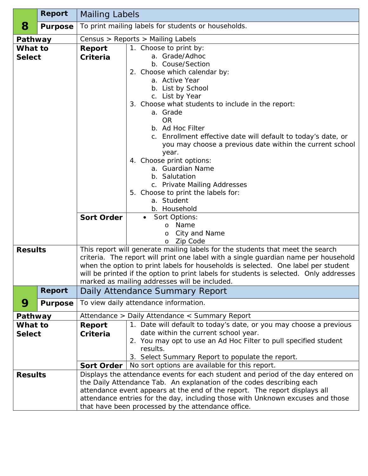|                | <b>Report</b>  | <b>Mailing Labels</b>                                                                                                                               |                                                                                                    |  |
|----------------|----------------|-----------------------------------------------------------------------------------------------------------------------------------------------------|----------------------------------------------------------------------------------------------------|--|
| 8              | <b>Purpose</b> |                                                                                                                                                     | To print mailing labels for students or households.                                                |  |
| Pathway        |                | Census > Reports > Mailing Labels                                                                                                                   |                                                                                                    |  |
| What to        |                | Report                                                                                                                                              | 1. Choose to print by:                                                                             |  |
| <b>Select</b>  |                | Criteria                                                                                                                                            | a. Grade/Adhoc                                                                                     |  |
|                |                |                                                                                                                                                     | b. Couse/Section                                                                                   |  |
|                |                |                                                                                                                                                     | 2. Choose which calendar by:                                                                       |  |
|                |                |                                                                                                                                                     | a. Active Year                                                                                     |  |
|                |                |                                                                                                                                                     | b. List by School<br>c. List by Year                                                               |  |
|                |                |                                                                                                                                                     | 3. Choose what students to include in the report:                                                  |  |
|                |                |                                                                                                                                                     | a. Grade                                                                                           |  |
|                |                |                                                                                                                                                     | <b>OR</b>                                                                                          |  |
|                |                |                                                                                                                                                     | b. Ad Hoc Filter                                                                                   |  |
|                |                |                                                                                                                                                     | c. Enrollment effective date will default to today's date, or                                      |  |
|                |                |                                                                                                                                                     | you may choose a previous date within the current school                                           |  |
|                |                |                                                                                                                                                     | year.                                                                                              |  |
|                |                |                                                                                                                                                     | 4. Choose print options:                                                                           |  |
|                |                |                                                                                                                                                     | a. Guardian Name                                                                                   |  |
|                |                |                                                                                                                                                     | b. Salutation                                                                                      |  |
|                |                |                                                                                                                                                     | c. Private Mailing Addresses<br>5. Choose to print the labels for:                                 |  |
|                |                |                                                                                                                                                     | a. Student                                                                                         |  |
|                |                |                                                                                                                                                     | b. Household                                                                                       |  |
|                |                | <b>Sort Order</b>                                                                                                                                   | Sort Options:<br>$\bullet$                                                                         |  |
|                |                |                                                                                                                                                     | Name<br>$\circ$                                                                                    |  |
|                |                |                                                                                                                                                     | City and Name<br>$\circ$                                                                           |  |
|                |                |                                                                                                                                                     | Zip Code<br>$\circ$                                                                                |  |
| <b>Results</b> |                |                                                                                                                                                     | This report will generate mailing labels for the students that meet the search                     |  |
|                |                | criteria. The report will print one label with a single guardian name per household                                                                 |                                                                                                    |  |
|                |                | when the option to print labels for households is selected. One label per student                                                                   |                                                                                                    |  |
|                |                |                                                                                                                                                     | will be printed if the option to print labels for students is selected. Only addresses             |  |
|                |                |                                                                                                                                                     | marked as mailing addresses will be included.                                                      |  |
|                | <b>Report</b>  | Daily Attendance Summary Report                                                                                                                     |                                                                                                    |  |
| 9              | <b>Purpose</b> | To view daily attendance information.                                                                                                               |                                                                                                    |  |
| Pathway        |                |                                                                                                                                                     | Attendance > Daily Attendance < Summary Report                                                     |  |
| What to        |                | Report                                                                                                                                              | 1. Date will default to today's date, or you may choose a previous                                 |  |
| <b>Select</b>  |                | Criteria                                                                                                                                            | date within the current school year.                                                               |  |
|                |                |                                                                                                                                                     | 2. You may opt to use an Ad Hoc Filter to pull specified student                                   |  |
|                |                |                                                                                                                                                     | results.                                                                                           |  |
|                |                |                                                                                                                                                     | 3. Select Summary Report to populate the report.<br>No sort options are available for this report. |  |
| <b>Results</b> |                | <b>Sort Order</b>                                                                                                                                   |                                                                                                    |  |
|                |                |                                                                                                                                                     | Displays the attendance events for each student and period of the day entered on                   |  |
|                |                | the Daily Attendance Tab. An explanation of the codes describing each<br>attendance event appears at the end of the report. The report displays all |                                                                                                    |  |
|                |                | attendance entries for the day, including those with Unknown excuses and those                                                                      |                                                                                                    |  |
|                |                | that have been processed by the attendance office.                                                                                                  |                                                                                                    |  |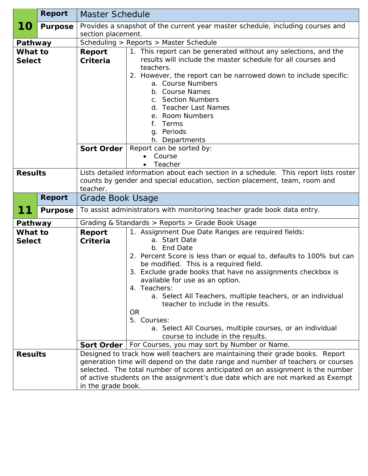|                          | <b>Report</b>  | <b>Master Schedule</b>                                                                                                                                                                                                                                                                                                                                      |                                                                                                                                                                                                                                                                                                                                                                                                                                                                                                                                                                                                          |  |
|--------------------------|----------------|-------------------------------------------------------------------------------------------------------------------------------------------------------------------------------------------------------------------------------------------------------------------------------------------------------------------------------------------------------------|----------------------------------------------------------------------------------------------------------------------------------------------------------------------------------------------------------------------------------------------------------------------------------------------------------------------------------------------------------------------------------------------------------------------------------------------------------------------------------------------------------------------------------------------------------------------------------------------------------|--|
| <b>10</b>                | <b>Purpose</b> | Provides a snapshot of the current year master schedule, including courses and<br>section placement.                                                                                                                                                                                                                                                        |                                                                                                                                                                                                                                                                                                                                                                                                                                                                                                                                                                                                          |  |
| Pathway                  |                | Scheduling > Reports > Master Schedule                                                                                                                                                                                                                                                                                                                      |                                                                                                                                                                                                                                                                                                                                                                                                                                                                                                                                                                                                          |  |
| What to<br><b>Select</b> |                | Report<br>Criteria<br><b>Sort Order</b>                                                                                                                                                                                                                                                                                                                     | 1. This report can be generated without any selections, and the<br>results will include the master schedule for all courses and<br>teachers.<br>2. However, the report can be narrowed down to include specific:<br>a. Course Numbers<br>b. Course Names<br>c. Section Numbers<br>d. Teacher Last Names<br>e. Room Numbers<br>Terms<br>f.<br>g. Periods<br>h. Departments<br>Report can be sorted by:<br>Course<br>Teacher                                                                                                                                                                               |  |
| <b>Results</b>           |                | Lists detailed information about each section in a schedule. This report lists roster<br>counts by gender and special education, section placement, team, room and<br>teacher.                                                                                                                                                                              |                                                                                                                                                                                                                                                                                                                                                                                                                                                                                                                                                                                                          |  |
|                          | <b>Report</b>  | Grade Book Usage                                                                                                                                                                                                                                                                                                                                            |                                                                                                                                                                                                                                                                                                                                                                                                                                                                                                                                                                                                          |  |
| 11                       | <b>Purpose</b> | To assist administrators with monitoring teacher grade book data entry.                                                                                                                                                                                                                                                                                     |                                                                                                                                                                                                                                                                                                                                                                                                                                                                                                                                                                                                          |  |
| Pathway                  |                |                                                                                                                                                                                                                                                                                                                                                             | Grading & Standards > Reports > Grade Book Usage                                                                                                                                                                                                                                                                                                                                                                                                                                                                                                                                                         |  |
| What to<br><b>Select</b> |                | <b>Report</b><br>Criteria<br><b>Sort Order</b>                                                                                                                                                                                                                                                                                                              | 1. Assignment Due Date Ranges are required fields:<br>a. Start Date<br>b. End Date<br>2. Percent Score is less than or equal to, defaults to 100% but can<br>be modified. This is a required field.<br>3. Exclude grade books that have no assignments checkbox is<br>available for use as an option.<br>4. Teachers:<br>a. Select All Teachers, multiple teachers, or an individual<br>teacher to include in the results.<br><b>OR</b><br>5. Courses:<br>a. Select All Courses, multiple courses, or an individual<br>course to include in the results.<br>For Courses, you may sort by Number or Name. |  |
| <b>Results</b>           |                | Designed to track how well teachers are maintaining their grade books. Report<br>generation time will depend on the date range and number of teachers or courses<br>selected. The total number of scores anticipated on an assignment is the number<br>of active students on the assignment's due date which are not marked as Exempt<br>in the grade book. |                                                                                                                                                                                                                                                                                                                                                                                                                                                                                                                                                                                                          |  |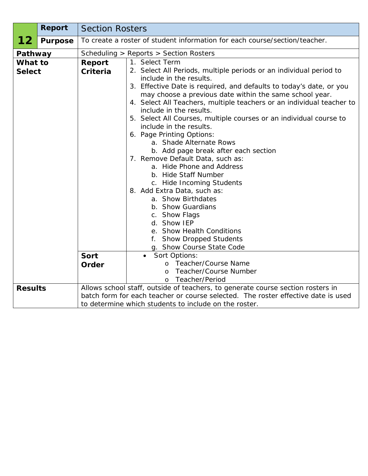|                          | <b>Report</b>  | <b>Section Rosters</b><br>To create a roster of student information for each course/section/teacher. |                                                                                                                                                                                                                                                                                                                                                                                                                                                                                                                                                                                                                                                                                                                                                                                                                                                                                                                                                               |  |
|--------------------------|----------------|------------------------------------------------------------------------------------------------------|---------------------------------------------------------------------------------------------------------------------------------------------------------------------------------------------------------------------------------------------------------------------------------------------------------------------------------------------------------------------------------------------------------------------------------------------------------------------------------------------------------------------------------------------------------------------------------------------------------------------------------------------------------------------------------------------------------------------------------------------------------------------------------------------------------------------------------------------------------------------------------------------------------------------------------------------------------------|--|
| 12                       | <b>Purpose</b> |                                                                                                      |                                                                                                                                                                                                                                                                                                                                                                                                                                                                                                                                                                                                                                                                                                                                                                                                                                                                                                                                                               |  |
| Pathway                  |                | Scheduling > Reports > Section Rosters                                                               |                                                                                                                                                                                                                                                                                                                                                                                                                                                                                                                                                                                                                                                                                                                                                                                                                                                                                                                                                               |  |
| What to<br><b>Select</b> |                | Report<br>Criteria<br>Sort<br>Order                                                                  | 1. Select Term<br>2. Select All Periods, multiple periods or an individual period to<br>include in the results.<br>3. Effective Date is required, and defaults to today's date, or you<br>may choose a previous date within the same school year.<br>4. Select All Teachers, multiple teachers or an individual teacher to<br>include in the results.<br>5. Select All Courses, multiple courses or an individual course to<br>include in the results.<br>6. Page Printing Options:<br>a. Shade Alternate Rows<br>b. Add page break after each section<br>7. Remove Default Data, such as:<br>a. Hide Phone and Address<br>b. Hide Staff Number<br>c. Hide Incoming Students<br>8. Add Extra Data, such as:<br>a. Show Birthdates<br>b. Show Guardians<br>c. Show Flags<br>d. Show IEP<br>e. Show Health Conditions<br>f. Show Dropped Students<br>g. Show Course State Code<br>• Sort Options:<br>o Teacher/Course Name<br>Teacher/Course Number<br>$\Omega$ |  |
|                          |                |                                                                                                      | Teacher/Period<br>$\Omega$                                                                                                                                                                                                                                                                                                                                                                                                                                                                                                                                                                                                                                                                                                                                                                                                                                                                                                                                    |  |
| <b>Results</b>           |                |                                                                                                      | Allows school staff, outside of teachers, to generate course section rosters in<br>batch form for each teacher or course selected. The roster effective date is used<br>to determine which students to include on the roster.                                                                                                                                                                                                                                                                                                                                                                                                                                                                                                                                                                                                                                                                                                                                 |  |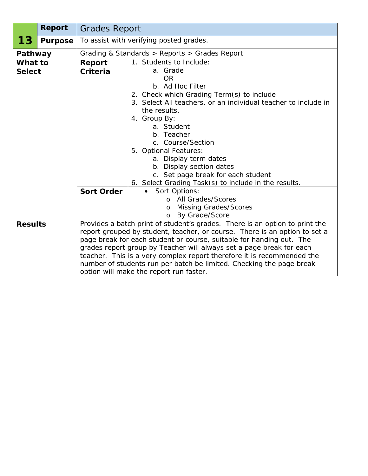|                | <b>Report</b>  |                                                                                                                                              | <b>Grades Report</b>                                                                                                                                                                                                                                                                                                                 |  |
|----------------|----------------|----------------------------------------------------------------------------------------------------------------------------------------------|--------------------------------------------------------------------------------------------------------------------------------------------------------------------------------------------------------------------------------------------------------------------------------------------------------------------------------------|--|
| 13             | <b>Purpose</b> |                                                                                                                                              | To assist with verifying posted grades.                                                                                                                                                                                                                                                                                              |  |
| Pathway        |                | Grading & Standards > Reports > Grades Report                                                                                                |                                                                                                                                                                                                                                                                                                                                      |  |
| What to        |                | Report                                                                                                                                       | 1. Students to Include:                                                                                                                                                                                                                                                                                                              |  |
| <b>Select</b>  |                | <b>Criteria</b>                                                                                                                              | a. Grade<br><b>OR</b>                                                                                                                                                                                                                                                                                                                |  |
|                |                |                                                                                                                                              | b. Ad Hoc Filter<br>2. Check which Grading Term(s) to include<br>3. Select All teachers, or an individual teacher to include in<br>the results.<br>4. Group By:<br>a. Student<br>b. Teacher<br>c. Course/Section<br>5. Optional Features:<br>a. Display term dates<br>b. Display section dates<br>c. Set page break for each student |  |
|                |                | <b>Sort Order</b>                                                                                                                            | 6. Select Grading Task(s) to include in the results.<br>Sort Options:                                                                                                                                                                                                                                                                |  |
|                |                |                                                                                                                                              | All Grades/Scores<br>$\Omega$                                                                                                                                                                                                                                                                                                        |  |
|                |                |                                                                                                                                              | <b>Missing Grades/Scores</b><br>O                                                                                                                                                                                                                                                                                                    |  |
|                |                |                                                                                                                                              | By Grade/Score<br>$\circ$                                                                                                                                                                                                                                                                                                            |  |
| <b>Results</b> |                | Provides a batch print of student's grades. There is an option to print the                                                                  |                                                                                                                                                                                                                                                                                                                                      |  |
|                |                |                                                                                                                                              | report grouped by student, teacher, or course. There is an option to set a                                                                                                                                                                                                                                                           |  |
|                |                | page break for each student or course, suitable for handing out. The<br>grades report group by Teacher will always set a page break for each |                                                                                                                                                                                                                                                                                                                                      |  |
|                |                | teacher. This is a very complex report therefore it is recommended the                                                                       |                                                                                                                                                                                                                                                                                                                                      |  |
|                |                |                                                                                                                                              | number of students run per batch be limited. Checking the page break                                                                                                                                                                                                                                                                 |  |
|                |                | option will make the report run faster.                                                                                                      |                                                                                                                                                                                                                                                                                                                                      |  |